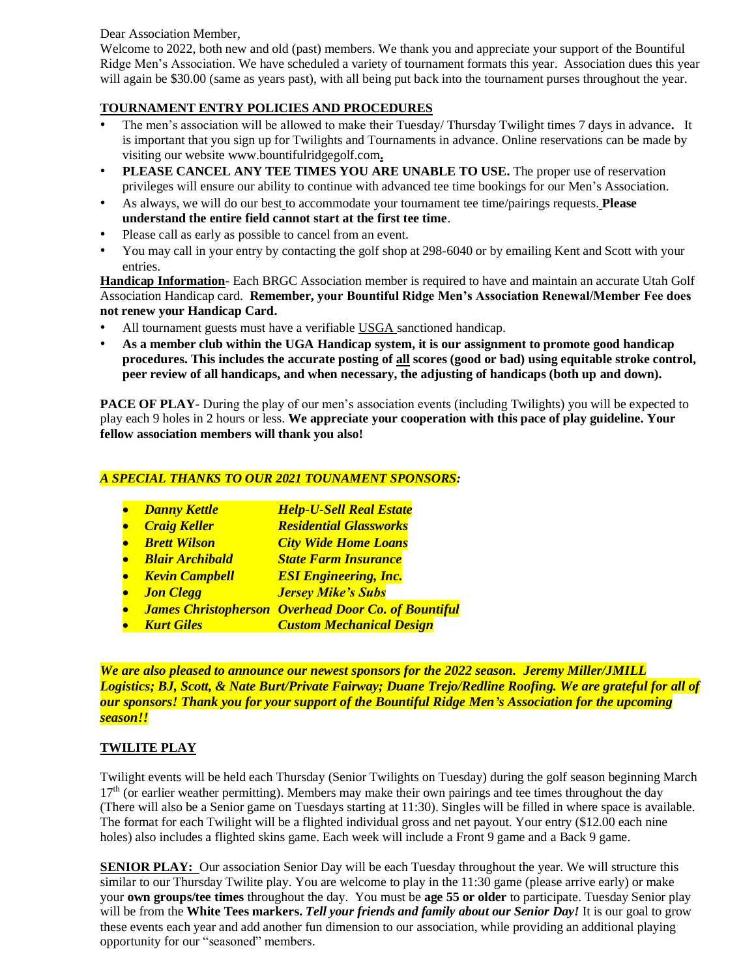Dear Association Member,

Welcome to 2022, both new and old (past) members. We thank you and appreciate your support of the Bountiful Ridge Men's Association. We have scheduled a variety of tournament formats this year. Association dues this year will again be \$30.00 (same as years past), with all being put back into the tournament purses throughout the year.

# **TOURNAMENT ENTRY POLICIES AND PROCEDURES**

- The men's association will be allowed to make their Tuesday/ Thursday Twilight times 7 days in advance**.** It is important that you sign up for Twilights and Tournaments in advance. Online reservations can be made by visiting our website www.bountifulridgegolf.com**.**
- **PLEASE CANCEL ANY TEE TIMES YOU ARE UNABLE TO USE.** The proper use of reservation privileges will ensure our ability to continue with advanced tee time bookings for our Men's Association.
- As always, we will do our best to accommodate your tournament tee time/pairings requests. **Please understand the entire field cannot start at the first tee time**.
- Please call as early as possible to cancel from an event.
- You may call in your entry by contacting the golf shop at 298-6040 or by emailing Kent and Scott with your entries.

**Handicap Information-** Each BRGC Association member is required to have and maintain an accurate Utah Golf Association Handicap card. **Remember, your Bountiful Ridge Men's Association Renewal/Member Fee does not renew your Handicap Card.**

- All tournament guests must have a verifiable USGA sanctioned handicap.
- **As a member club within the UGA Handicap system, it is our assignment to promote good handicap procedures. This includes the accurate posting of all scores (good or bad) using equitable stroke control, peer review of all handicaps, and when necessary, the adjusting of handicaps (both up and down).**

**PACE OF PLAY**- During the play of our men's association events (including Twilights) you will be expected to play each 9 holes in 2 hours or less. **We appreciate your cooperation with this pace of play guideline. Your fellow association members will thank you also!**

## *A SPECIAL THANKS TO OUR 2021 TOUNAMENT SPONSORS:*

- *Danny Kettle Help-U-Sell Real Estate*
- *Craig Keller Residential Glassworks*
- *Brett Wilson City Wide Home Loans*
- *Blair Archibald State Farm Insurance*
- *Kevin Campbell ESI Engineering, Inc.*
- *Jon Clegg Jersey Mike's Subs*
- *James Christopherson Overhead Door Co. of Bountiful*
- *Kurt Giles Custom Mechanical Design*

*We are also pleased to announce our newest sponsors for the 2022 season. Jeremy Miller/JMILL Logistics; BJ, Scott, & Nate Burt/Private Fairway; Duane Trejo/Redline Roofing. We are grateful for all of our sponsors! Thank you for your support of the Bountiful Ridge Men's Association for the upcoming season!!*

#### **TWILITE PLAY**

Twilight events will be held each Thursday (Senior Twilights on Tuesday) during the golf season beginning March  $17<sup>th</sup>$  (or earlier weather permitting). Members may make their own pairings and tee times throughout the day (There will also be a Senior game on Tuesdays starting at 11:30). Singles will be filled in where space is available. The format for each Twilight will be a flighted individual gross and net payout. Your entry (\$12.00 each nine holes) also includes a flighted skins game. Each week will include a Front 9 game and a Back 9 game.

**SENIOR PLAY:** Our association Senior Day will be each Tuesday throughout the year. We will structure this similar to our Thursday Twilite play. You are welcome to play in the 11:30 game (please arrive early) or make your **own groups/tee times** throughout the day. You must be **age 55 or older** to participate. Tuesday Senior play will be from the **White Tees markers.** *Tell your friends and family about our Senior Day!* It is our goal to grow these events each year and add another fun dimension to our association, while providing an additional playing opportunity for our "seasoned" members.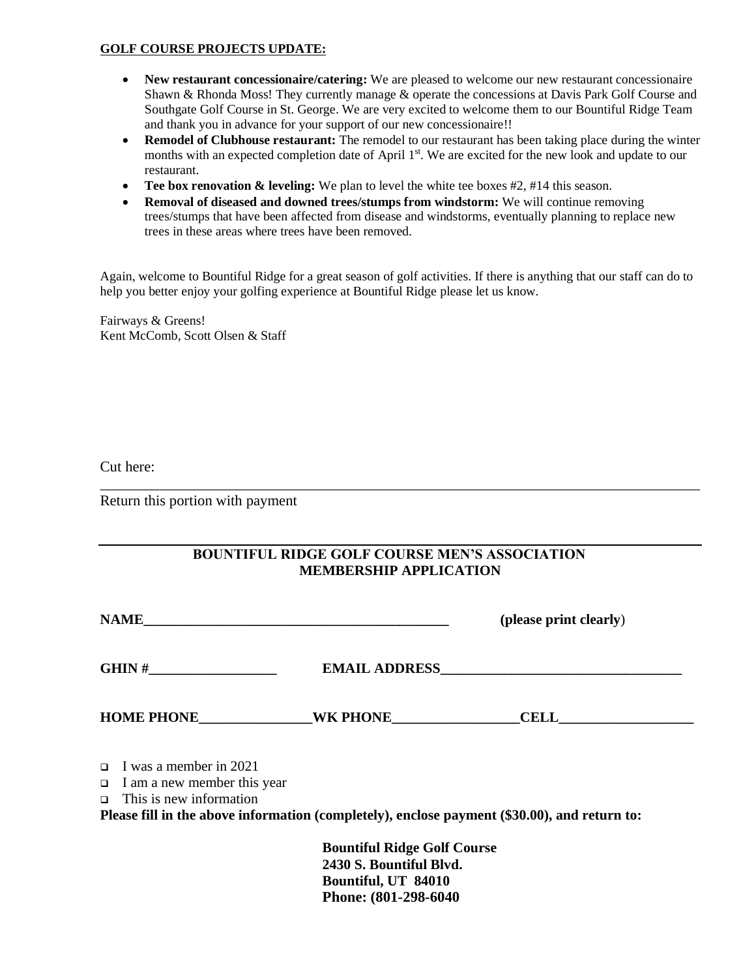### **GOLF COURSE PROJECTS UPDATE:**

- **New restaurant concessionaire/catering:** We are pleased to welcome our new restaurant concessionaire Shawn & Rhonda Moss! They currently manage & operate the concessions at Davis Park Golf Course and Southgate Golf Course in St. George. We are very excited to welcome them to our Bountiful Ridge Team and thank you in advance for your support of our new concessionaire!!
- **Remodel of Clubhouse restaurant:** The remodel to our restaurant has been taking place during the winter months with an expected completion date of April 1<sup>st</sup>. We are excited for the new look and update to our restaurant.
- **Tee box renovation & leveling:** We plan to level the white tee boxes #2, #14 this season.
- **Removal of diseased and downed trees/stumps from windstorm:** We will continue removing trees/stumps that have been affected from disease and windstorms, eventually planning to replace new trees in these areas where trees have been removed.

Again, welcome to Bountiful Ridge for a great season of golf activities. If there is anything that our staff can do to help you better enjoy your golfing experience at Bountiful Ridge please let us know.

Fairways & Greens! Kent McComb, Scott Olsen & Staff

Cut here:

Return this portion with payment

| <b>BOUNTIFUL RIDGE GOLF COURSE MEN'S ASSOCIATION</b> |
|------------------------------------------------------|
| <b>MEMBERSHIP APPLICATION</b>                        |

\_\_\_\_\_\_\_\_\_\_\_\_\_\_\_\_\_\_\_\_\_\_\_\_\_\_\_\_\_\_\_\_\_\_\_\_\_\_\_\_\_\_\_\_\_\_\_\_\_\_\_\_\_\_\_\_\_\_\_\_\_\_\_\_\_\_\_\_\_\_\_\_\_\_\_\_\_\_\_\_\_

| <b>NAME</b>                                                                                           | (please print clearly)                                                                       |
|-------------------------------------------------------------------------------------------------------|----------------------------------------------------------------------------------------------|
|                                                                                                       |                                                                                              |
| <b>HOME PHONE WK PHONE</b>                                                                            | <b>CELL</b>                                                                                  |
| $\Box$ I was a member in 2021<br>$\Box$ I am a new member this year<br>$\Box$ This is new information | Please fill in the above information (completely), enclose payment (\$30.00), and return to: |

**Bountiful Ridge Golf Course 2430 S. Bountiful Blvd. Bountiful, UT 84010 Phone: (801-298-6040**